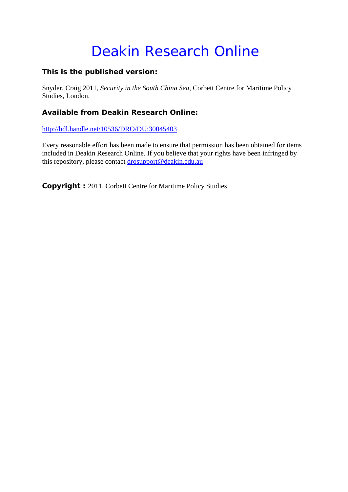# Deakin Research Online

# **This is the published version:**

Snyder, Craig 2011*, Security in the South China Sea*, Corbett Centre for Maritime Policy Studies, London.

# **Available from Deakin Research Online:**

http://hdl.handle.net/10536/DRO/DU:30045403

Every reasonable effort has been made to ensure that permission has been obtained for items included in Deakin Research Online. If you believe that your rights have been infringed by this repository, please contact drosupport@deakin.edu.au

**Copyright :** 2011, Corbett Centre for Maritime Policy Studies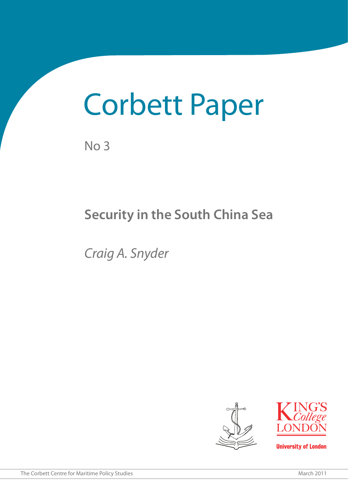# Corbett Paper

No 3

# **Security in the South China Sea**

*Craig A. Snyder*





**University of London**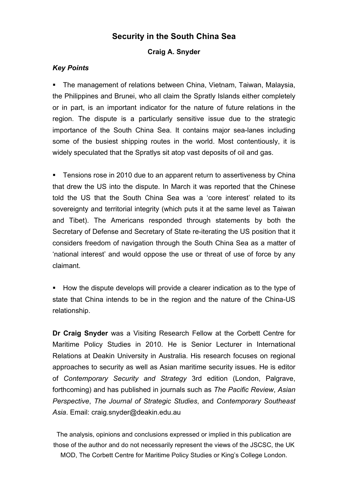# **Security in the South China Sea**

# **Craig A. Snyder**

# *Key Points*

 The management of relations between China, Vietnam, Taiwan, Malaysia, the Philippines and Brunei, who all claim the Spratly Islands either completely or in part, is an important indicator for the nature of future relations in the region. The dispute is a particularly sensitive issue due to the strategic importance of the South China Sea. It contains major sea-lanes including some of the busiest shipping routes in the world. Most contentiously, it is widely speculated that the Spratlys sit atop vast deposits of oil and gas.

**Tensions rose in 2010 due to an apparent return to assertiveness by China** that drew the US into the dispute. In March it was reported that the Chinese told the US that the South China Sea was a 'core interest' related to its sovereignty and territorial integrity (which puts it at the same level as Taiwan and Tibet). The Americans responded through statements by both the Secretary of Defense and Secretary of State re-iterating the US position that it considers freedom of navigation through the South China Sea as a matter of 'national interest' and would oppose the use or threat of use of force by any claimant.

 How the dispute develops will provide a clearer indication as to the type of state that China intends to be in the region and the nature of the China-US relationship.

**Dr Craig Snyder** was a Visiting Research Fellow at the Corbett Centre for Maritime Policy Studies in 2010. He is Senior Lecturer in International Relations at Deakin University in Australia. His research focuses on regional approaches to security as well as Asian maritime security issues. He is editor of *Contemporary Security and Strategy* 3rd edition (London, Palgrave, forthcoming) and has published in journals such as *The Pacific Review*, *Asian Perspective*, *The Journal of Strategic Studies*, and *Contemporary Southeast Asia*. Email: craig.snyder@deakin.edu.au

The analysis, opinions and conclusions expressed or implied in this publication are those of the author and do not necessarily represent the views of the JSCSC, the UK MOD, The Corbett Centre for Maritime Policy Studies or King's College London.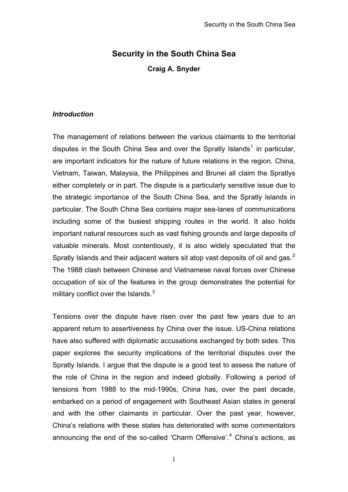# **Security in the South China Sea**

**Craig A. Snyder** 

#### *Introduction*

The management of relations between the various claimants to the territorial disputes in the South China Sea and over the Spratly Islands<sup>[1](#page-18-0)</sup> in particular, are important indicators for the nature of future relations in the region. China, Vietnam, Taiwan, Malaysia, the Philippines and Brunei all claim the Spratlys either completely or in part. The dispute is a particularly sensitive issue due to the strategic importance of the South China Sea, and the Spratly Islands in particular. The South China Sea contains major sea-lanes of communications including some of the busiest shipping routes in the world. It also holds important natural resources such as vast fishing grounds and large deposits of valuable minerals. Most contentiously, it is also widely speculated that the Spratly Islands and their adjacent waters sit atop vast deposits of oil and gas.<sup>[2](#page-18-1)</sup> The 1988 clash between Chinese and Vietnamese naval forces over Chinese occupation of six of the features in the group demonstrates the potential for military conflict over the Islands. $3$ 

Tensions over the dispute have risen over the past few years due to an apparent return to assertiveness by China over the issue. US-China relations have also suffered with diplomatic accusations exchanged by both sides. This paper explores the security implications of the territorial disputes over the Spratly Islands. I argue that the dispute is a good test to assess the nature of the role of China in the region and indeed globally. Following a period of tensions from 1988 to the mid-1990s, China has, over the past decade, embarked on a period of engagement with Southeast Asian states in general and with the other claimants in particular. Over the past year, however, China's relations with these states has deteriorated with some commentators announcing the end of the so-called 'Charm Offensive'.<sup>[4](#page-18-3)</sup> China's actions, as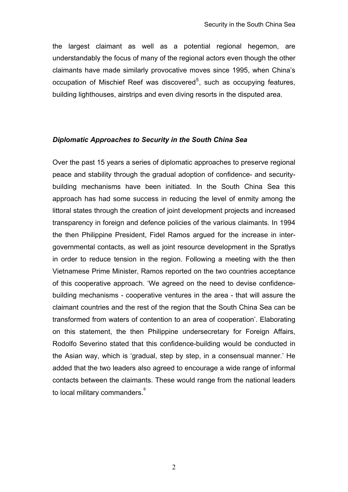the largest claimant as well as a potential regional hegemon, are understandably the focus of many of the regional actors even though the other claimants have made similarly provocative moves since 1995, when China's occupation of Mischief Reef was discovered<sup>[5](#page-18-4)</sup>, such as occupying features, building lighthouses, airstrips and even diving resorts in the disputed area.

#### *Diplomatic Approaches to Security in the South China Sea*

Over the past 15 years a series of diplomatic approaches to preserve regional peace and stability through the gradual adoption of confidence- and securitybuilding mechanisms have been initiated. In the South China Sea this approach has had some success in reducing the level of enmity among the littoral states through the creation of joint development projects and increased transparency in foreign and defence policies of the various claimants. In 1994 the then Philippine President, Fidel Ramos argued for the increase in intergovernmental contacts, as well as joint resource development in the Spratlys in order to reduce tension in the region. Following a meeting with the then Vietnamese Prime Minister, Ramos reported on the two countries acceptance of this cooperative approach. 'We agreed on the need to devise confidencebuilding mechanisms - cooperative ventures in the area - that will assure the claimant countries and the rest of the region that the South China Sea can be transformed from waters of contention to an area of cooperation'. Elaborating on this statement, the then Philippine undersecretary for Foreign Affairs, Rodolfo Severino stated that this confidence-building would be conducted in the Asian way, which is 'gradual, step by step, in a consensual manner.' He added that the two leaders also agreed to encourage a wide range of informal contacts between the claimants. These would range from the national leaders to local military commanders. $^{\circ}$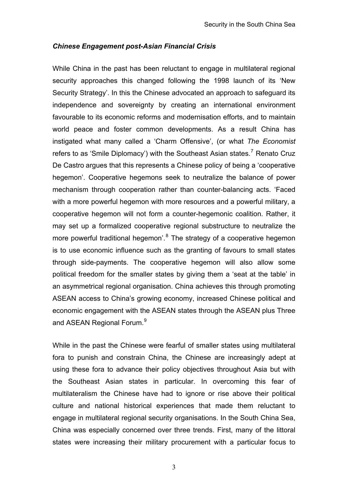### *Chinese Engagement post-Asian Financial Crisis*

While China in the past has been reluctant to engage in multilateral regional security approaches this changed following the 1998 launch of its 'New Security Strategy'. In this the Chinese advocated an approach to safeguard its independence and sovereignty by creating an international environment favourable to its economic reforms and modernisation efforts, and to maintain world peace and foster common developments. As a result China has instigated what many called a 'Charm Offensive', (or what *The Economist* refers to as 'Smile Diplomacy') with the Southeast Asian states.<sup>[7](#page-18-6)</sup> Renato Cruz De Castro argues that this represents a Chinese policy of being a 'cooperative hegemon'. Cooperative hegemons seek to neutralize the balance of power mechanism through cooperation rather than counter-balancing acts. 'Faced with a more powerful hegemon with more resources and a powerful military, a cooperative hegemon will not form a counter-hegemonic coalition. Rather, it may set up a formalized cooperative regional substructure to neutralize the more powerful traditional hegemon'.<sup>[8](#page-18-7)</sup> The strategy of a cooperative hegemon is to use economic influence such as the granting of favours to small states through side-payments. The cooperative hegemon will also allow some political freedom for the smaller states by giving them a 'seat at the table' in an asymmetrical regional organisation. China achieves this through promoting ASEAN access to China's growing economy, increased Chinese political and economic engagement with the ASEAN states through the ASEAN plus Three and ASEAN Regional Forum.<sup>[9](#page-18-8)</sup>

While in the past the Chinese were fearful of smaller states using multilateral fora to punish and constrain China, the Chinese are increasingly adept at using these fora to advance their policy objectives throughout Asia but with the Southeast Asian states in particular. In overcoming this fear of multilateralism the Chinese have had to ignore or rise above their political culture and national historical experiences that made them reluctant to engage in multilateral regional security organisations. In the South China Sea, China was especially concerned over three trends. First, many of the littoral states were increasing their military procurement with a particular focus to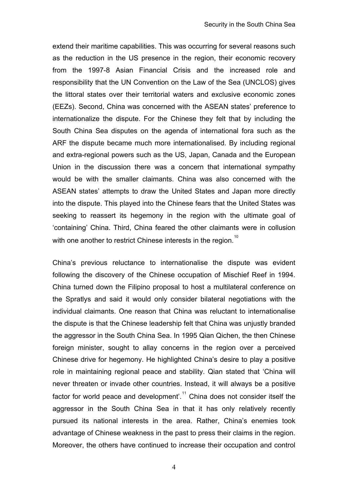extend their maritime capabilities. This was occurring for several reasons such as the reduction in the US presence in the region, their economic recovery from the 1997-8 Asian Financial Crisis and the increased role and responsibility that the UN Convention on the Law of the Sea (UNCLOS) gives the littoral states over their territorial waters and exclusive economic zones (EEZs). Second, China was concerned with the ASEAN states' preference to internationalize the dispute. For the Chinese they felt that by including the South China Sea disputes on the agenda of international fora such as the ARF the dispute became much more internationalised. By including regional and extra-regional powers such as the US, Japan, Canada and the European Union in the discussion there was a concern that international sympathy would be with the smaller claimants. China was also concerned with the ASEAN states' attempts to draw the United States and Japan more directly into the dispute. This played into the Chinese fears that the United States was seeking to reassert its hegemony in the region with the ultimate goal of 'containing' China. Third, China feared the other claimants were in collusion with one another to restrict Chinese interests in the region.<sup>[10](#page-18-9)</sup>

China's previous reluctance to internationalise the dispute was evident following the discovery of the Chinese occupation of Mischief Reef in 1994. China turned down the Filipino proposal to host a multilateral conference on the Spratlys and said it would only consider bilateral negotiations with the individual claimants. One reason that China was reluctant to internationalise the dispute is that the Chinese leadership felt that China was unjustly branded the aggressor in the South China Sea. In 1995 Qian Qichen, the then Chinese foreign minister, sought to allay concerns in the region over a perceived Chinese drive for hegemony. He highlighted China's desire to play a positive role in maintaining regional peace and stability. Qian stated that 'China will never threaten or invade other countries. Instead, it will always be a positive factor for world peace and development'.<sup>[11](#page-18-10)</sup> China does not consider itself the aggressor in the South China Sea in that it has only relatively recently pursued its national interests in the area. Rather, China's enemies took advantage of Chinese weakness in the past to press their claims in the region. Moreover, the others have continued to increase their occupation and control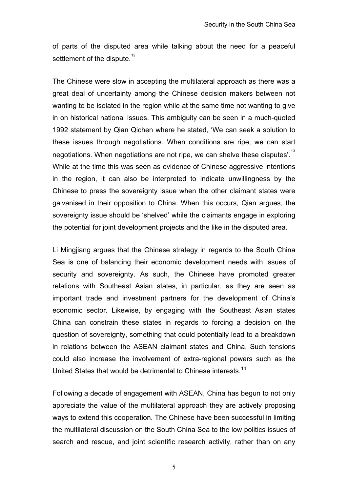of parts of the disputed area while talking about the need for a peaceful settlement of the dispute.<sup>[12](#page-18-11)</sup>

The Chinese were slow in accepting the multilateral approach as there was a great deal of uncertainty among the Chinese decision makers between not wanting to be isolated in the region while at the same time not wanting to give in on historical national issues. This ambiguity can be seen in a much-quoted 1992 statement by Qian Qichen where he stated, 'We can seek a solution to these issues through negotiations. When conditions are ripe, we can start negotiations. When negotiations are not ripe, we can shelve these disputes'.<sup>[13](#page-18-12)</sup> While at the time this was seen as evidence of Chinese aggressive intentions in the region, it can also be interpreted to indicate unwillingness by the Chinese to press the sovereignty issue when the other claimant states were galvanised in their opposition to China. When this occurs, Qian argues, the sovereignty issue should be 'shelved' while the claimants engage in exploring the potential for joint development projects and the like in the disputed area.

Li Mingjiang argues that the Chinese strategy in regards to the South China Sea is one of balancing their economic development needs with issues of security and sovereignty. As such, the Chinese have promoted greater relations with Southeast Asian states, in particular, as they are seen as important trade and investment partners for the development of China's economic sector. Likewise, by engaging with the Southeast Asian states China can constrain these states in regards to forcing a decision on the question of sovereignty, something that could potentially lead to a breakdown in relations between the ASEAN claimant states and China. Such tensions could also increase the involvement of extra-regional powers such as the United States that would be detrimental to Chinese interests.<sup>[14](#page-18-13)</sup>

Following a decade of engagement with ASEAN, China has begun to not only appreciate the value of the multilateral approach they are actively proposing ways to extend this cooperation. The Chinese have been successful in limiting the multilateral discussion on the South China Sea to the low politics issues of search and rescue, and joint scientific research activity, rather than on any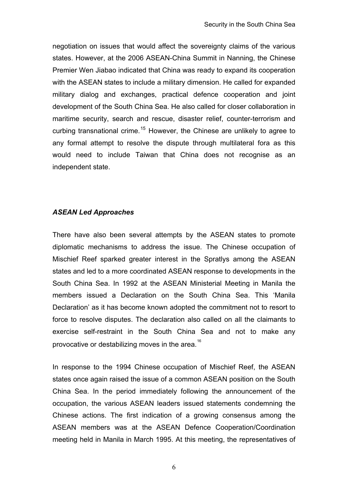negotiation on issues that would affect the sovereignty claims of the various states. However, at the 2006 ASEAN-China Summit in Nanning, the Chinese Premier Wen Jiabao indicated that China was ready to expand its cooperation with the ASEAN states to include a military dimension. He called for expanded military dialog and exchanges, practical defence cooperation and joint development of the South China Sea. He also called for closer collaboration in maritime security, search and rescue, disaster relief, counter-terrorism and curbing transnational crime.<sup>[15](#page-18-14)</sup> However, the Chinese are unlikely to agree to any formal attempt to resolve the dispute through multilateral fora as this would need to include Taiwan that China does not recognise as an independent state.

# *ASEAN Led Approaches*

There have also been several attempts by the ASEAN states to promote diplomatic mechanisms to address the issue. The Chinese occupation of Mischief Reef sparked greater interest in the Spratlys among the ASEAN states and led to a more coordinated ASEAN response to developments in the South China Sea. In 1992 at the ASEAN Ministerial Meeting in Manila the members issued a Declaration on the South China Sea. This 'Manila Declaration' as it has become known adopted the commitment not to resort to force to resolve disputes. The declaration also called on all the claimants to exercise self-restraint in the South China Sea and not to make any provocative or destabilizing moves in the area.<sup>[16](#page-18-15)</sup>

In response to the 1994 Chinese occupation of Mischief Reef, the ASEAN states once again raised the issue of a common ASEAN position on the South China Sea. In the period immediately following the announcement of the occupation, the various ASEAN leaders issued statements condemning the Chinese actions. The first indication of a growing consensus among the ASEAN members was at the ASEAN Defence Cooperation/Coordination meeting held in Manila in March 1995. At this meeting, the representatives of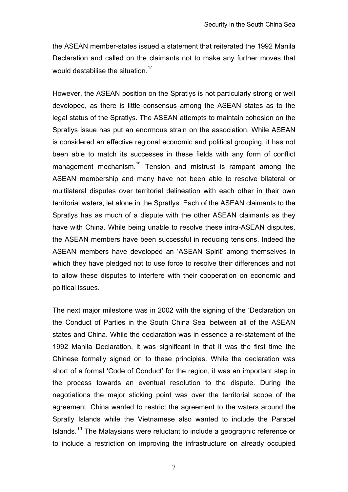the ASEAN member-states issued a statement that reiterated the 1992 Manila Declaration and called on the claimants not to make any further moves that would destabilise the situation.<sup>[17](#page-19-0)</sup>

However, the ASEAN position on the Spratlys is not particularly strong or well developed, as there is little consensus among the ASEAN states as to the legal status of the Spratlys. The ASEAN attempts to maintain cohesion on the Spratlys issue has put an enormous strain on the association. While ASEAN is considered an effective regional economic and political grouping, it has not been able to match its successes in these fields with any form of conflict management mechanism.<sup>[18](#page-19-1)</sup> Tension and mistrust is rampant among the ASEAN membership and many have not been able to resolve bilateral or multilateral disputes over territorial delineation with each other in their own territorial waters, let alone in the Spratlys. Each of the ASEAN claimants to the Spratlys has as much of a dispute with the other ASEAN claimants as they have with China. While being unable to resolve these intra-ASEAN disputes, the ASEAN members have been successful in reducing tensions. Indeed the ASEAN members have developed an 'ASEAN Spirit' among themselves in which they have pledged not to use force to resolve their differences and not to allow these disputes to interfere with their cooperation on economic and political issues.

The next major milestone was in 2002 with the signing of the 'Declaration on the Conduct of Parties in the South China Sea' between all of the ASEAN states and China. While the declaration was in essence a re-statement of the 1992 Manila Declaration, it was significant in that it was the first time the Chinese formally signed on to these principles. While the declaration was short of a formal 'Code of Conduct' for the region, it was an important step in the process towards an eventual resolution to the dispute. During the negotiations the major sticking point was over the territorial scope of the agreement. China wanted to restrict the agreement to the waters around the Spratly Islands while the Vietnamese also wanted to include the Paracel Islands.<sup>[19](#page-19-2)</sup> The Malaysians were reluctant to include a geographic reference or to include a restriction on improving the infrastructure on already occupied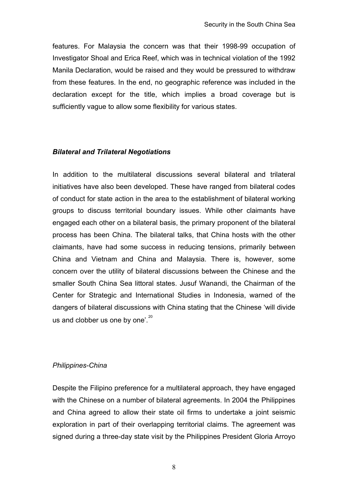features. For Malaysia the concern was that their 1998-99 occupation of Investigator Shoal and Erica Reef, which was in technical violation of the 1992 Manila Declaration, would be raised and they would be pressured to withdraw from these features. In the end, no geographic reference was included in the declaration except for the title, which implies a broad coverage but is sufficiently vague to allow some flexibility for various states.

### *Bilateral and Trilateral Negotiations*

In addition to the multilateral discussions several bilateral and trilateral initiatives have also been developed. These have ranged from bilateral codes of conduct for state action in the area to the establishment of bilateral working groups to discuss territorial boundary issues. While other claimants have engaged each other on a bilateral basis, the primary proponent of the bilateral process has been China. The bilateral talks, that China hosts with the other claimants, have had some success in reducing tensions, primarily between China and Vietnam and China and Malaysia. There is, however, some concern over the utility of bilateral discussions between the Chinese and the smaller South China Sea littoral states. Jusuf Wanandi, the Chairman of the Center for Strategic and International Studies in Indonesia, warned of the dangers of bilateral discussions with China stating that the Chinese 'will divide us and clobber us one by one'. $20$ 

# *Philippines-China*

Despite the Filipino preference for a multilateral approach, they have engaged with the Chinese on a number of bilateral agreements. In 2004 the Philippines and China agreed to allow their state oil firms to undertake a joint seismic exploration in part of their overlapping territorial claims. The agreement was signed during a three-day state visit by the Philippines President Gloria Arroyo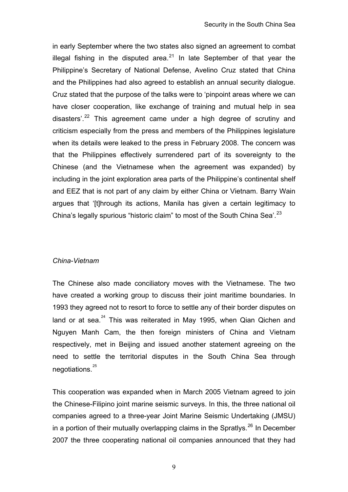in early September where the two states also signed an agreement to combat illegal fishing in the disputed area.<sup>[21](#page-19-4)</sup> In late September of that year the Philippine's Secretary of National Defense, Avelino Cruz stated that China and the Philippines had also agreed to establish an annual security dialogue. Cruz stated that the purpose of the talks were to 'pinpoint areas where we can have closer cooperation, like exchange of training and mutual help in sea disasters'.<sup>[22](#page-19-5)</sup> This agreement came under a high degree of scrutiny and criticism especially from the press and members of the Philippines legislature when its details were leaked to the press in February 2008. The concern was that the Philippines effectively surrendered part of its sovereignty to the Chinese (and the Vietnamese when the agreement was expanded) by including in the joint exploration area parts of the Philippine's continental shelf and EEZ that is not part of any claim by either China or Vietnam. Barry Wain argues that '[t]hrough its actions, Manila has given a certain legitimacy to China's legally spurious "historic claim" to most of the South China Sea'.<sup>[23](#page-19-6)</sup>

#### *China-Vietnam*

The Chinese also made conciliatory moves with the Vietnamese. The two have created a working group to discuss their joint maritime boundaries. In 1993 they agreed not to resort to force to settle any of their border disputes on land or at sea.<sup>[24](#page-19-7)</sup> This was reiterated in May 1995, when Qian Qichen and Nguyen Manh Cam, the then foreign ministers of China and Vietnam respectively, met in Beijing and issued another statement agreeing on the need to settle the territorial disputes in the South China Sea through negotiations.<sup>[25](#page-19-8)</sup>

This cooperation was expanded when in March 2005 Vietnam agreed to join the Chinese-Filipino joint marine seismic surveys. In this, the three national oil companies agreed to a three-year Joint Marine Seismic Undertaking (JMSU) in a portion of their mutually overlapping claims in the Spratlys.<sup>[26](#page-19-9)</sup> In December 2007 the three cooperating national oil companies announced that they had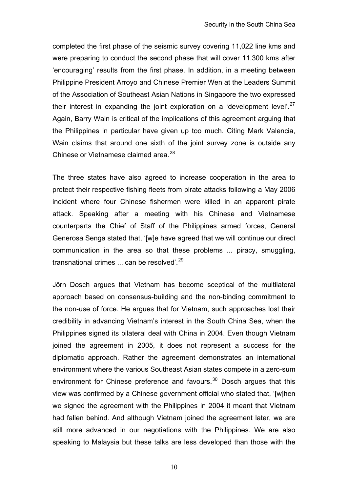completed the first phase of the seismic survey covering 11,022 line kms and were preparing to conduct the second phase that will cover 11,300 kms after 'encouraging' results from the first phase. In addition, in a meeting between Philippine President Arroyo and Chinese Premier Wen at the Leaders Summit of the Association of Southeast Asian Nations in Singapore the two expressed their interest in expanding the joint exploration on a 'development level'. $27$ Again, Barry Wain is critical of the implications of this agreement arguing that the Philippines in particular have given up too much. Citing Mark Valencia, Wain claims that around one sixth of the joint survey zone is outside any Chinese or Vietnamese claimed area.<sup>[28](#page-19-11)</sup>

The three states have also agreed to increase cooperation in the area to protect their respective fishing fleets from pirate attacks following a May 2006 incident where four Chinese fishermen were killed in an apparent pirate attack. Speaking after a meeting with his Chinese and Vietnamese counterparts the Chief of Staff of the Philippines armed forces, General Generosa Senga stated that, '[w]e have agreed that we will continue our direct communication in the area so that these problems ... piracy, smuggling, transnational crimes ... can be resolved'.<sup>[29](#page-19-12)</sup>

Jörn Dosch argues that Vietnam has become sceptical of the multilateral approach based on consensus-building and the non-binding commitment to the non-use of force. He argues that for Vietnam, such approaches lost their credibility in advancing Vietnam's interest in the South China Sea, when the Philippines signed its bilateral deal with China in 2004. Even though Vietnam joined the agreement in 2005, it does not represent a success for the diplomatic approach. Rather the agreement demonstrates an international environment where the various Southeast Asian states compete in a zero-sum environment for Chinese preference and favours.<sup>[30](#page-19-13)</sup> Dosch argues that this view was confirmed by a Chinese government official who stated that, '[w]hen we signed the agreement with the Philippines in 2004 it meant that Vietnam had fallen behind. And although Vietnam joined the agreement later, we are still more advanced in our negotiations with the Philippines. We are also speaking to Malaysia but these talks are less developed than those with the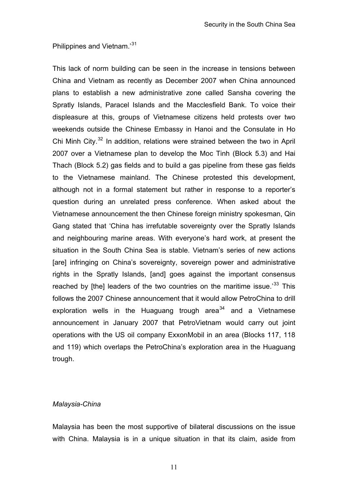Philippines and Vietnam.'[31](#page-19-14)

This lack of norm building can be seen in the increase in tensions between China and Vietnam as recently as December 2007 when China announced plans to establish a new administrative zone called Sansha covering the Spratly Islands, Paracel Islands and the Macclesfield Bank. To voice their displeasure at this, groups of Vietnamese citizens held protests over two weekends outside the Chinese Embassy in Hanoi and the Consulate in Ho Chi Minh City.<sup>[32](#page-19-15)</sup> In addition, relations were strained between the two in April 2007 over a Vietnamese plan to develop the Moc Tinh (Block 5.3) and Hai Thach (Block 5.2) gas fields and to build a gas pipeline from these gas fields to the Vietnamese mainland. The Chinese protested this development, although not in a formal statement but rather in response to a reporter's question during an unrelated press conference. When asked about the Vietnamese announcement the then Chinese foreign ministry spokesman, Qin Gang stated that 'China has irrefutable sovereignty over the Spratly Islands and neighbouring marine areas. With everyone's hard work, at present the situation in the South China Sea is stable. Vietnam's series of new actions [are] infringing on China's sovereignty, sovereign power and administrative rights in the Spratly Islands, [and] goes against the important consensus reached by [the] leaders of the two countries on the maritime issue.<sup>[33](#page-19-16)</sup> This follows the 2007 Chinese announcement that it would allow PetroChina to drill exploration wells in the Huaguang trough area<sup>[34](#page-19-17)</sup> and a Vietnamese announcement in January 2007 that PetroVietnam would carry out joint operations with the US oil company ExxonMobil in an area (Blocks 117, 118 and 119) which overlaps the PetroChina's exploration area in the Huaguang trough.

#### *Malaysia-China*

Malaysia has been the most supportive of bilateral discussions on the issue with China. Malaysia is in a unique situation in that its claim, aside from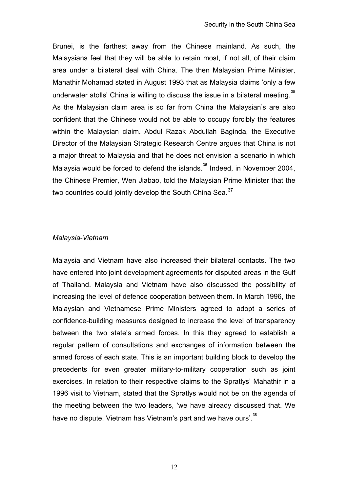Brunei, is the farthest away from the Chinese mainland. As such, the Malaysians feel that they will be able to retain most, if not all, of their claim area under a bilateral deal with China. The then Malaysian Prime Minister, Mahathir Mohamad stated in August 1993 that as Malaysia claims 'only a few underwater atolls' China is willing to discuss the issue in a bilateral meeting.<sup>[35](#page-19-18)</sup> As the Malaysian claim area is so far from China the Malaysian's are also confident that the Chinese would not be able to occupy forcibly the features within the Malaysian claim. Abdul Razak Abdullah Baginda, the Executive Director of the Malaysian Strategic Research Centre argues that China is not a major threat to Malaysia and that he does not envision a scenario in which Malaysia would be forced to defend the islands.<sup>[36](#page-19-19)</sup> Indeed, in November 2004, the Chinese Premier, Wen Jiabao, told the Malaysian Prime Minister that the two countries could jointly develop the South China Sea.<sup>[37](#page-20-0)</sup>

#### *Malaysia-Vietnam*

Malaysia and Vietnam have also increased their bilateral contacts. The two have entered into joint development agreements for disputed areas in the Gulf of Thailand. Malaysia and Vietnam have also discussed the possibility of increasing the level of defence cooperation between them. In March 1996, the Malaysian and Vietnamese Prime Ministers agreed to adopt a series of confidence-building measures designed to increase the level of transparency between the two state's armed forces. In this they agreed to establish a regular pattern of consultations and exchanges of information between the armed forces of each state. This is an important building block to develop the precedents for even greater military-to-military cooperation such as joint exercises. In relation to their respective claims to the Spratlys' Mahathir in a 1996 visit to Vietnam, stated that the Spratlys would not be on the agenda of the meeting between the two leaders, 'we have already discussed that. We have no dispute. Vietnam has Vietnam's part and we have ours'.<sup>[38](#page-20-1)</sup>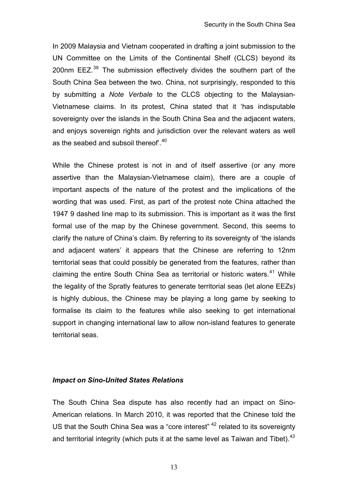In 2009 Malaysia and Vietnam cooperated in drafting a joint submission to the UN Committee on the Limits of the Continental Shelf (CLCS) beyond its 200nm  $E$ EZ.<sup>[39](#page-20-2)</sup> The submission effectively divides the southern part of the South China Sea between the two. China, not surprisingly, responded to this by submitting a *Note Verbale* to the CLCS objecting to the Malaysian-Vietnamese claims. In its protest, China stated that it 'has indisputable sovereignty over the islands in the South China Sea and the adjacent waters, and enjoys sovereign rights and jurisdiction over the relevant waters as well as the seabed and subsoil thereof<sup>'.[40](#page-20-3)</sup>

While the Chinese protest is not in and of itself assertive (or any more assertive than the Malaysian-Vietnamese claim), there are a couple of important aspects of the nature of the protest and the implications of the wording that was used. First, as part of the protest note China attached the 1947 9 dashed line map to its submission. This is important as it was the first formal use of the map by the Chinese government. Second, this seems to clarify the nature of China's claim. By referring to its sovereignty of 'the islands and adjacent waters' it appears that the Chinese are referring to 12nm territorial seas that could possibly be generated from the features, rather than claiming the entire South China Sea as territorial or historic waters.<sup>[41](#page-20-4)</sup> While the legality of the Spratly features to generate territorial seas (let alone EEZs) is highly dubious, the Chinese may be playing a long game by seeking to formalise its claim to the features while also seeking to get international support in changing international law to allow non-island features to generate territorial seas.

#### *Impact on Sino-United States Relations*

The South China Sea dispute has also recently had an impact on Sino-American relations. In March 2010, it was reported that the Chinese told the US that the South China Sea was a "core interest" [42](#page-20-5) related to its sovereignty and territorial integrity (which puts it at the same level as Taiwan and Tibet).  $43$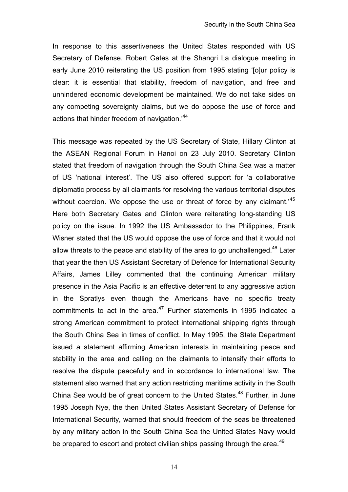In response to this assertiveness the United States responded with US Secretary of Defense, Robert Gates at the Shangri La dialogue meeting in early June 2010 reiterating the US position from 1995 stating '[o]ur policy is clear: it is essential that stability, freedom of navigation, and free and unhindered economic development be maintained. We do not take sides on any competing sovereignty claims, but we do oppose the use of force and actions that hinder freedom of navigation.'44

This message was repeated by the US Secretary of State, Hillary Clinton at the ASEAN Regional Forum in Hanoi on 23 July 2010. Secretary Clinton stated that freedom of navigation through the South China Sea was a matter of US 'national interest'. The US also offered support for 'a collaborative diplomatic process by all claimants for resolving the various territorial disputes without coercion. We oppose the use or threat of force by any claimant.<sup>45</sup> Here both Secretary Gates and Clinton were reiterating long-standing US policy on the issue. In 1992 the US Ambassador to the Philippines, Frank Wisner stated that the US would oppose the use of force and that it would not allow threats to the peace and stability of the area to go unchallenged.<sup>46</sup> Later that year the then US Assistant Secretary of Defence for International Security Affairs, James Lilley commented that the continuing American military presence in the Asia Pacific is an effective deterrent to any aggressive action in the Spratlys even though the Americans have no specific treaty commitments to act in the area. $47$  Further statements in 1995 indicated a strong American commitment to protect international shipping rights through the South China Sea in times of conflict. In May 1995, the State Department issued a statement affirming American interests in maintaining peace and stability in the area and calling on the claimants to intensify their efforts to resolve the dispute peacefully and in accordance to international law. The statement also warned that any action restricting maritime activity in the South China Sea would be of great concern to the United States.<sup>48</sup> Further, in June 1995 Joseph Nye, the then United States Assistant Secretary of Defense for International Security, warned that should freedom of the seas be threatened by any military action in the South China Sea the United States Navy would be prepared to escort and protect civilian ships passing through the area.<sup>49</sup>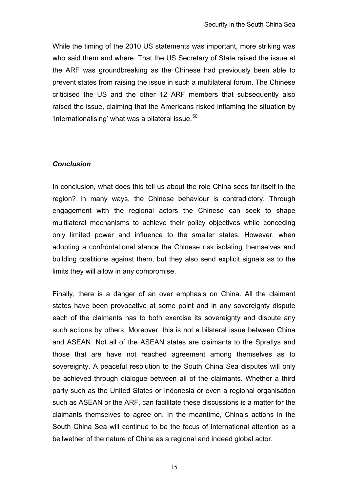While the timing of the 2010 US statements was important, more striking was who said them and where. That the US Secretary of State raised the issue at the ARF was groundbreaking as the Chinese had previously been able to prevent states from raising the issue in such a multilateral forum. The Chinese criticised the US and the other 12 ARF members that subsequently also raised the issue, claiming that the Americans risked inflaming the situation by 'internationalising' what was a bilateral issue. $50$ 

### *Conclusion*

In conclusion, what does this tell us about the role China sees for itself in the region? In many ways, the Chinese behaviour is contradictory. Through engagement with the regional actors the Chinese can seek to shape multilateral mechanisms to achieve their policy objectives while conceding only limited power and influence to the smaller states. However, when adopting a confrontational stance the Chinese risk isolating themselves and building coalitions against them, but they also send explicit signals as to the limits they will allow in any compromise.

Finally, there is a danger of an over emphasis on China. All the claimant states have been provocative at some point and in any sovereignty dispute each of the claimants has to both exercise its sovereignty and dispute any such actions by others. Moreover, this is not a bilateral issue between China and ASEAN. Not all of the ASEAN states are claimants to the Spratlys and those that are have not reached agreement among themselves as to sovereignty. A peaceful resolution to the South China Sea disputes will only be achieved through dialogue between all of the claimants. Whether a third party such as the United States or Indonesia or even a regional organisation such as ASEAN or the ARF, can facilitate these discussions is a matter for the claimants themselves to agree on. In the meantime, China's actions in the South China Sea will continue to be the focus of international attention as a bellwether of the nature of China as a regional and indeed global actor.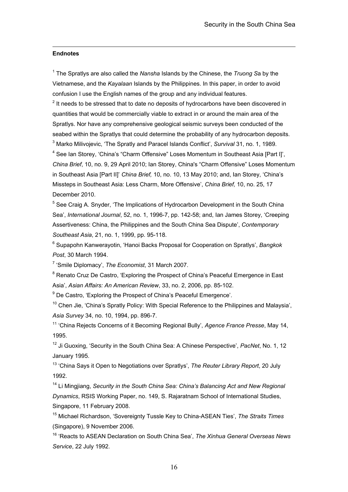#### <span id="page-18-0"></span>**Endnotes**

 $\overline{a}$ 

1 The Spratlys are also called the *Nansha* Islands by the Chinese, the *Truong S*a by the Vietnamese, and the *Kayalaan* Islands by the Philippines. In this paper, in order to avoid confusion I use the English names of the group and any individual features.

<span id="page-18-1"></span> $2$  It needs to be stressed that to date no deposits of hydrocarbons have been discovered in quantities that would be commercially viable to extract in or around the main area of the Spratlys. Nor have any comprehensive geological seismic surveys been conducted of the seabed within the Spratlys that could determine the probability of any hydrocarbon deposits. 3 Marko Milivojevic, 'The Spratly and Paracel Islands Conflict', *Survival* 31, no. 1, 1989.

<span id="page-18-3"></span><span id="page-18-2"></span><sup>4</sup> See Ian Storey, 'China's "Charm Offensive" Loses Momentum in Southeast Asia [Part I]', *China Brief*, 10, no. 9, 29 April 2010; Ian Storey, China's "Charm Offensive" Loses Momentum in Southeast Asia [Part II]' *China Brief,* 10, no. 10, 13 May 2010; and, Ian Storey, 'China's Missteps in Southeast Asia: Less Charm, More Offensive', *China Brief,* 10, no. 25, 17 December 2010.

<span id="page-18-4"></span><sup>5</sup> See Craig A. Snyder, 'The Implications of Hydrocarbon Development in the South China Sea', *International Journal*, 52, no. 1, 1996-7, pp. 142-58; and, Ian James Storey, 'Creeping Assertiveness: China, the Philippines and the South China Sea Dispute', *Contemporary Southeast Asia*, 21, no. 1, 1999, pp. 95-118.

<span id="page-18-5"></span>6 Supapohn Kanwerayotin, 'Hanoi Backs Proposal for Cooperation on Spratlys', *Bangkok Post*, 30 March 1994.

<span id="page-18-6"></span>7 'Smile Diplomacy', *The Economist*, 31 March 2007.

<span id="page-18-7"></span><sup>8</sup> Renato Cruz De Castro, 'Exploring the Prospect of China's Peaceful Emergence in East Asia', *Asian Affairs: An American Review*, 33, no. 2, 2006, pp. 85-102.

<span id="page-18-8"></span><sup>9</sup> De Castro, 'Exploring the Prospect of China's Peaceful Emergence'.

<span id="page-18-9"></span> $10$  Chen Jie, 'China's Spratly Policy: With Special Reference to the Philippines and Malavsia'. *Asia Survey* 34, no. 10, 1994, pp. 896-7.

<span id="page-18-10"></span>11 'China Rejects Concerns of it Becoming Regional Bully', *Agence France Presse*, May 14, 1995.

<span id="page-18-11"></span>12 Ji Guoxing, 'Security in the South China Sea: A Chinese Perspective', *PacNet*, No. 1, 12 January 1995.

<span id="page-18-12"></span>13 'China Says it Open to Negotiations over Spratlys', *The Reuter Library Report*, 20 July 1992.

<span id="page-18-13"></span><sup>14</sup> Li Mingiiang, *Security in the South China Sea: China's Balancing Act and New Regional Dynamics*, RSIS Working Paper, no. 149, S. Rajaratnam School of International Studies, Singapore, 11 February 2008.

<span id="page-18-14"></span>15 Michael Richardson, 'Sovereignty Tussle Key to China-ASEAN Ties', *The Straits Times* (Singapore), 9 November 2006.

<span id="page-18-15"></span>16 'Reacts to ASEAN Declaration on South China Sea', *The Xinhua General Overseas News Service*, 22 July 1992.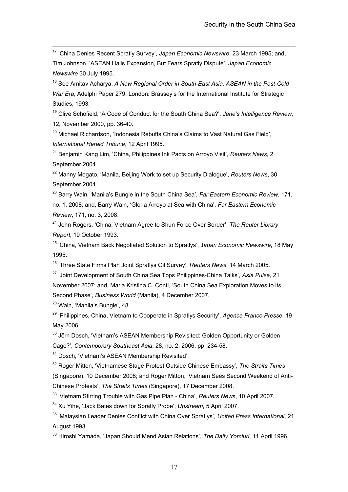<span id="page-19-0"></span> 17 'China Denies Recent Spratly Survey', *Japan Economic Newswire*, 23 March 1995; and, Tim Johnson, 'ASEAN Hails Expansion, But Fears Spratly Dispute', *Japan Economic Newswire* 30 July 1995.

<span id="page-19-1"></span>18 See Amitav Acharya, *A New Regional Order in South-East Asia: ASEAN in the Post-Cold War Era*, Adelphi Paper 279, London: Brassey's for the International Institute for Strategic Studies, 1993.

<span id="page-19-2"></span>19 Clive Schofield, 'A Code of Conduct for the South China Sea?', *Jane's Intelligence Review*, 12, November 2000, pp. 36-40.

<span id="page-19-3"></span><sup>20</sup> Michael Richardson, 'Indonesia Rebuffs China's Claims to Vast Natural Gas Field', *International Herald Tribune*, 12 April 1995.

<span id="page-19-4"></span>21 Benjamin Kang Lim, 'China, Philippines Ink Pacts on Arroyo Visit', *Reuters News*, 2 September 2004.

<span id="page-19-5"></span>22 Manny Mogato, 'Manila, Beijing Work to set up Security Dialogue', *Reuters News*, 30 September 2004.

<span id="page-19-6"></span>23 Barry Wain, 'Manila's Bungle in the South China Sea', *Far Eastern Economic Review*, 171, no. 1, 2008; and, Barry Wain, 'Gloria Arroyo at Sea with China', *Far Eastern Economic Review*, 171, no. 3, 2008.

<span id="page-19-7"></span>24 John Rogers, 'China, Vietnam Agree to Shun Force Over Border', *The Reuter Library Report*, 19 October 1993.

<span id="page-19-8"></span>25 'China, Vietnam Back Negotiated Solution to Spratlys', J*apan Economic Newswire*, 18 May 1995.

<span id="page-19-9"></span>26 'Three State Firms Plan Joint Spratlys Oil Survey', *Reuters News*, 14 March 2005.

<span id="page-19-10"></span>27 'Joint Development of South China Sea Tops Philippines-China Talks', *Asia Pulse*, 21 November 2007; and, Maria Kristina C. Conti, 'South China Sea Exploration Moves to its Second Phase', *Business World* (Manila), 4 December 2007.

<span id="page-19-11"></span>28 Wain, 'Manila's Bungle', 48.

<span id="page-19-12"></span>29 'Philippines, China, Vietnam to Cooperate in Spratlys Security', *Agence France Presse*, 19 May 2006.

<span id="page-19-13"></span><sup>30</sup> Jörn Dosch, 'Vietnam's ASEAN Membership Revisited: Golden Opportunity or Golden Cage?', *Contemporary Southeast Asia*, 28, no. 2, 2006, pp. 234-58.

<span id="page-19-14"></span><sup>31</sup> Dosch, 'Vietnam's ASEAN Membership Revisited'.

<span id="page-19-15"></span>32 Roger Mitton, 'Vietnamese Stage Protest Outside Chinese Embassy', *The Straits Times*  (Singapore), 10 December 2008; and Roger Mitton, 'Vietnam Sees Second Weekend of Anti-Chinese Protests', *The Straits Times* (Singapore), 17 December 2008.

<span id="page-19-16"></span>33 'Vietnam Stirring Trouble with Gas Pipe Plan - China', *Reuters News*, 10 April 2007.

<span id="page-19-17"></span>34 Xu Yihe, 'Jack Bates down for Spratly Probe', *Upstream*, 5 April 2007.

<span id="page-19-18"></span>35 'Malaysian Leader Denies Conflict with China Over Spratlys', *United Press International*, 21 August 1993.

<span id="page-19-19"></span>36 Hiroshi Yamada, 'Japan Should Mend Asian Relations', *The Daily Yomiuri*, 11 April 1996.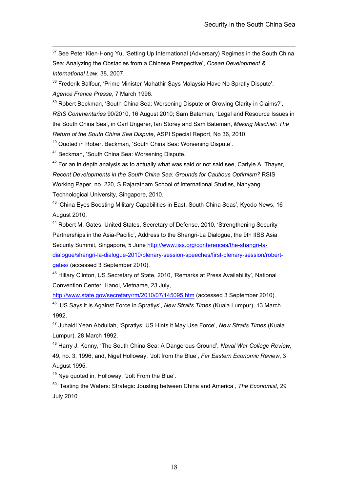<span id="page-20-0"></span> $37$  See Peter Kien-Hong Yu, 'Setting Up International (Adversary) Regimes in the South China Sea: Analyzing the Obstacles from a Chinese Perspective', *Ocean Development & International Law*, 38, 2007.

<span id="page-20-1"></span><sup>38</sup> Frederik Balfour, 'Prime Minister Mahathir Says Malaysia Have No Spratly Dispute', *Agence France Presse*, 7 March 1996.

<span id="page-20-2"></span><sup>39</sup> Robert Beckman, 'South China Sea: Worsening Dispute or Growing Clarity in Claims?', *RSIS Commentaries* 90/2010, 16 August 2010; Sam Bateman, 'Legal and Resource Issues in the South China Sea', in Carl Ungerer, Ian Storey and Sam Bateman, *Making Mischief: The Return of the South China Sea Dispute*, ASPI Special Report, No 36, 2010.

<span id="page-20-3"></span>40 Quoted in Robert Beckman, 'South China Sea: Worsening Dispute'.

<span id="page-20-4"></span>41 Beckman, 'South China Sea: Worsening Dispute.

<span id="page-20-5"></span> $42$  For an in depth analysis as to actually what was said or not said see. Carlyle A. Thayer, *Recent Developments in the South China Sea: Grounds for Cautious Optimism?* RSIS Working Paper, no. 220, S Rajaratham School of International Studies, Nanyang Technological University, Singapore, 2010.

<span id="page-20-6"></span><sup>43</sup> 'China Eyes Boosting Military Capabilities in East, South China Seas', Kyodo News, 16 August 2010.

44 Robert M. Gates, United States, Secretary of Defense, 2010, 'Strengthening Security Partnerships in the Asia-Pacific', Address to the Shangri-La Dialogue, the 9th IISS Asia Security Summit, Singapore, 5 June [http://www.iiss.org/conferences/the-shangri-la](http://www.iiss.org/conferences/the-shangri-la-dialogue/shangri-la-dialogue-2010/plenary-session-speeches/first-plenary-session/robert-gates/)[dialogue/shangri-la-dialogue-2010/plenary-session-speeches/first-plenary-session/robert](http://www.iiss.org/conferences/the-shangri-la-dialogue/shangri-la-dialogue-2010/plenary-session-speeches/first-plenary-session/robert-gates/)[gates/](http://www.iiss.org/conferences/the-shangri-la-dialogue/shangri-la-dialogue-2010/plenary-session-speeches/first-plenary-session/robert-gates/) (accessed 3 September 2010).

45 Hillary Clinton, US Secretary of State, 2010, 'Remarks at Press Availability', National Convention Center, Hanoi, Vietname, 23 July,

<http://www.state.gov/secretary/rm/2010/07/145095.htm>(accessed 3 September 2010). 46 'US Says it is Against Force in Spratlys', *New Straits Times* (Kuala Lumpur), 13 March 1992.

47 Juhaidi Yean Abdullah, 'Spratlys: US Hints it May Use Force', *New Straits Times* (Kuala Lumpur), 28 March 1992.

48 Harry J. Kenny, 'The South China Sea: A Dangerous Ground', *Naval War College Review*, 49, no. 3, 1996; and, Nigel Holloway, 'Jolt from the Blue', *Far Eastern Economic Review*, 3 August 1995.

49 Nye quoted in, Holloway, 'Jolt From the Blue'.

50 'Testing the Waters: Strategic Jousting between China and America'*, The Economist*, 29 July 2010